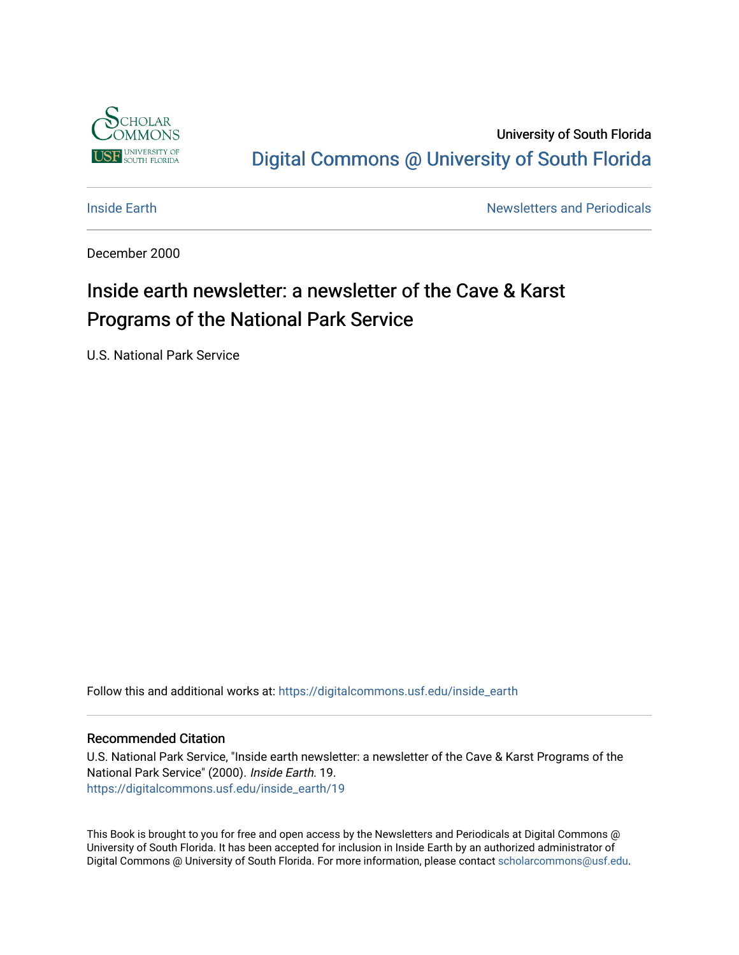

University of South Florida [Digital Commons @ University of South Florida](https://digitalcommons.usf.edu/) 

**[Inside Earth](https://digitalcommons.usf.edu/inside_earth) Inside Earth Newsletters and Periodicals** 

December 2000

# Inside earth newsletter: a newsletter of the Cave & Karst Programs of the National Park Service

U.S. National Park Service

Follow this and additional works at: [https://digitalcommons.usf.edu/inside\\_earth](https://digitalcommons.usf.edu/inside_earth?utm_source=digitalcommons.usf.edu%2Finside_earth%2F19&utm_medium=PDF&utm_campaign=PDFCoverPages)

#### Recommended Citation

U.S. National Park Service, "Inside earth newsletter: a newsletter of the Cave & Karst Programs of the National Park Service" (2000). Inside Earth. 19. [https://digitalcommons.usf.edu/inside\\_earth/19](https://digitalcommons.usf.edu/inside_earth/19?utm_source=digitalcommons.usf.edu%2Finside_earth%2F19&utm_medium=PDF&utm_campaign=PDFCoverPages) 

This Book is brought to you for free and open access by the Newsletters and Periodicals at Digital Commons @ University of South Florida. It has been accepted for inclusion in Inside Earth by an authorized administrator of Digital Commons @ University of South Florida. For more information, please contact [scholarcommons@usf.edu.](mailto:scholarcommons@usf.edu)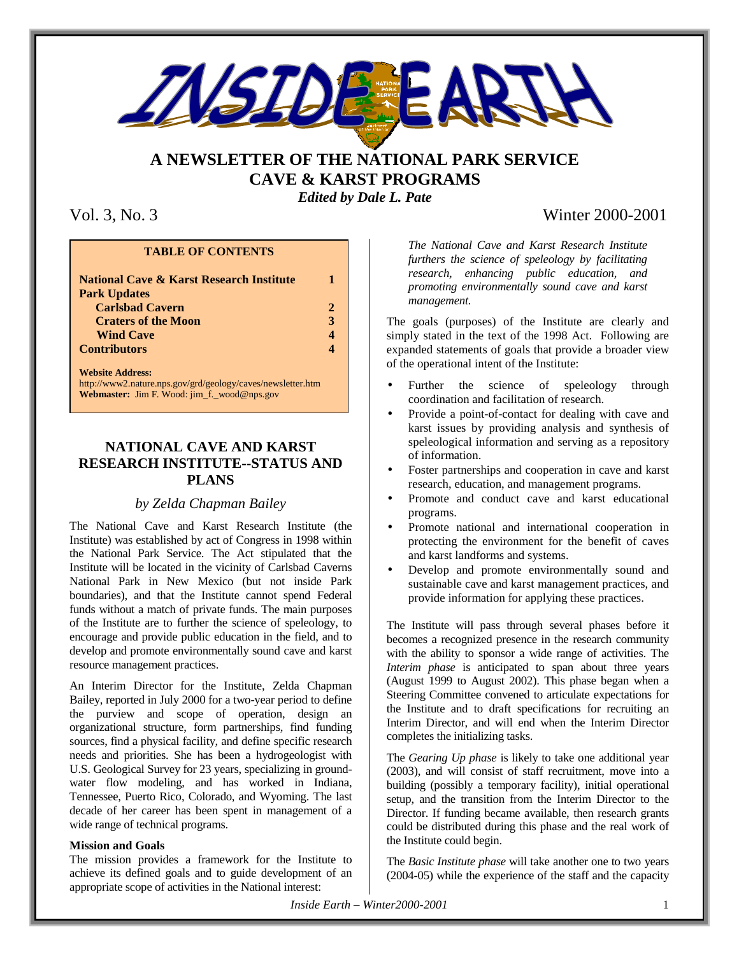

# **A NEWSLETTER OF THE NATIONAL PARK SERVICE CAVE & KARST PROGRAMS**

### *Edited by Dale L. Pate*

#### **TABLE OF CONTENTS**

| <b>National Cave &amp; Karst Research Institute</b>         |   |  |  |
|-------------------------------------------------------------|---|--|--|
| <b>Park Updates</b>                                         |   |  |  |
| <b>Carlsbad Cavern</b>                                      | 2 |  |  |
| <b>Craters of the Moon</b>                                  | 3 |  |  |
| <b>Wind Cave</b>                                            | 4 |  |  |
| <b>Contributors</b>                                         | 4 |  |  |
| <b>Website Address:</b>                                     |   |  |  |
| http://www2.nature.nps.gov/grd/geology/caves/newsletter.htm |   |  |  |

**Webmaster:** Jim F. Wood: jim\_f.\_wood@nps.gov

## **NATIONAL CAVE AND KARST RESEARCH INSTITUTE--STATUS AND PLANS**

### *by Zelda Chapman Bailey*

The National Cave and Karst Research Institute (the Institute) was established by act of Congress in 1998 within the National Park Service. The Act stipulated that the Institute will be located in the vicinity of Carlsbad Caverns National Park in New Mexico (but not inside Park boundaries), and that the Institute cannot spend Federal funds without a match of private funds. The main purposes of the Institute are to further the science of speleology, to encourage and provide public education in the field, and to develop and promote environmentally sound cave and karst resource management practices.

An Interim Director for the Institute, Zelda Chapman Bailey, reported in July 2000 for a two-year period to define the purview and scope of operation, design an organizational structure, form partnerships, find funding sources, find a physical facility, and define specific research needs and priorities. She has been a hydrogeologist with U.S. Geological Survey for 23 years, specializing in groundwater flow modeling, and has worked in Indiana, Tennessee, Puerto Rico, Colorado, and Wyoming. The last decade of her career has been spent in management of a wide range of technical programs.

#### **Mission and Goals**

The mission provides a framework for the Institute to achieve its defined goals and to guide development of an appropriate scope of activities in the National interest:

# Vol. 3, No. 3 Winter 2000-2001

*The National Cave and Karst Research Institute furthers the science of speleology by facilitating research, enhancing public education, and promoting environmentally sound cave and karst management.*

The goals (purposes) of the Institute are clearly and simply stated in the text of the 1998 Act. Following are expanded statements of goals that provide a broader view of the operational intent of the Institute:

- Further the science of speleology through coordination and facilitation of research.
- Provide a point-of-contact for dealing with cave and karst issues by providing analysis and synthesis of speleological information and serving as a repository of information.
- Foster partnerships and cooperation in cave and karst research, education, and management programs.
- Promote and conduct cave and karst educational programs.
- Promote national and international cooperation in protecting the environment for the benefit of caves and karst landforms and systems.
- Develop and promote environmentally sound and sustainable cave and karst management practices, and provide information for applying these practices.

The Institute will pass through several phases before it becomes a recognized presence in the research community with the ability to sponsor a wide range of activities. The *Interim phase* is anticipated to span about three years (August 1999 to August 2002). This phase began when a Steering Committee convened to articulate expectations for the Institute and to draft specifications for recruiting an Interim Director, and will end when the Interim Director completes the initializing tasks.

The *Gearing Up phase* is likely to take one additional year (2003), and will consist of staff recruitment, move into a building (possibly a temporary facility), initial operational setup, and the transition from the Interim Director to the Director. If funding became available, then research grants could be distributed during this phase and the real work of the Institute could begin.

The *Basic Institute phase* will take another one to two years (2004-05) while the experience of the staff and the capacity

*Inside Earth – Winter2000-2001* 1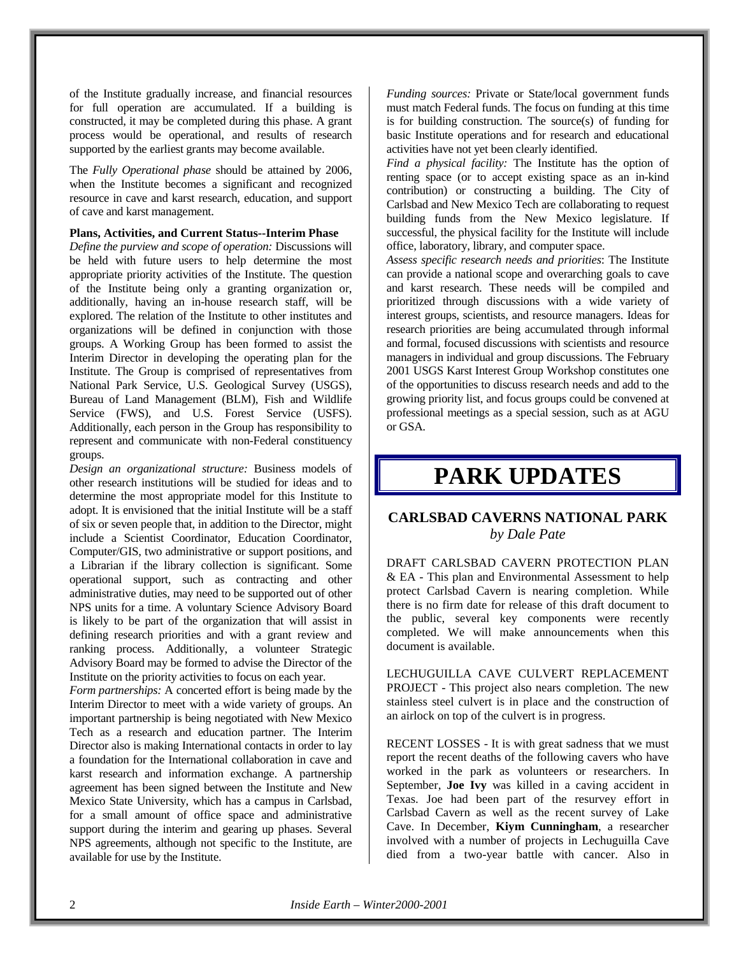of the Institute gradually increase, and financial resources for full operation are accumulated. If a building is constructed, it may be completed during this phase. A grant process would be operational, and results of research supported by the earliest grants may become available.

The *Fully Operational phase* should be attained by 2006, when the Institute becomes a significant and recognized resource in cave and karst research, education, and support of cave and karst management.

#### **Plans, Activities, and Current Status--Interim Phase**

*Define the purview and scope of operation:* Discussions will be held with future users to help determine the most appropriate priority activities of the Institute. The question of the Institute being only a granting organization or, additionally, having an in-house research staff, will be explored. The relation of the Institute to other institutes and organizations will be defined in conjunction with those groups. A Working Group has been formed to assist the Interim Director in developing the operating plan for the Institute. The Group is comprised of representatives from National Park Service, U.S. Geological Survey (USGS), Bureau of Land Management (BLM), Fish and Wildlife Service (FWS), and U.S. Forest Service (USFS). Additionally, each person in the Group has responsibility to represent and communicate with non-Federal constituency groups.

*Design an organizational structure:* Business models of other research institutions will be studied for ideas and to determine the most appropriate model for this Institute to adopt. It is envisioned that the initial Institute will be a staff of six or seven people that, in addition to the Director, might include a Scientist Coordinator, Education Coordinator, Computer/GIS, two administrative or support positions, and a Librarian if the library collection is significant. Some operational support, such as contracting and other administrative duties, may need to be supported out of other NPS units for a time. A voluntary Science Advisory Board is likely to be part of the organization that will assist in defining research priorities and with a grant review and ranking process. Additionally, a volunteer Strategic Advisory Board may be formed to advise the Director of the Institute on the priority activities to focus on each year.

*Form partnerships:* A concerted effort is being made by the Interim Director to meet with a wide variety of groups. An important partnership is being negotiated with New Mexico Tech as a research and education partner. The Interim Director also is making International contacts in order to lay a foundation for the International collaboration in cave and karst research and information exchange. A partnership agreement has been signed between the Institute and New Mexico State University, which has a campus in Carlsbad, for a small amount of office space and administrative support during the interim and gearing up phases. Several NPS agreements, although not specific to the Institute, are available for use by the Institute.

*Funding sources:* Private or State/local government funds must match Federal funds. The focus on funding at this time is for building construction. The source(s) of funding for basic Institute operations and for research and educational activities have not yet been clearly identified.

*Find a physical facility:* The Institute has the option of renting space (or to accept existing space as an in-kind contribution) or constructing a building. The City of Carlsbad and New Mexico Tech are collaborating to request building funds from the New Mexico legislature. If successful, the physical facility for the Institute will include office, laboratory, library, and computer space.

*Assess specific research needs and priorities*: The Institute can provide a national scope and overarching goals to cave and karst research. These needs will be compiled and prioritized through discussions with a wide variety of interest groups, scientists, and resource managers. Ideas for research priorities are being accumulated through informal and formal, focused discussions with scientists and resource managers in individual and group discussions. The February 2001 USGS Karst Interest Group Workshop constitutes one of the opportunities to discuss research needs and add to the growing priority list, and focus groups could be convened at professional meetings as a special session, such as at AGU or GSA.

# **PARK UPDATES**

### **CARLSBAD CAVERNS NATIONAL PARK** *by Dale Pate*

DRAFT CARLSBAD CAVERN PROTECTION PLAN & EA - This plan and Environmental Assessment to help protect Carlsbad Cavern is nearing completion. While there is no firm date for release of this draft document to the public, several key components were recently completed. We will make announcements when this document is available.

LECHUGUILLA CAVE CULVERT REPLACEMENT PROJECT - This project also nears completion. The new stainless steel culvert is in place and the construction of an airlock on top of the culvert is in progress.

RECENT LOSSES - It is with great sadness that we must report the recent deaths of the following cavers who have worked in the park as volunteers or researchers. In September, **Joe Ivy** was killed in a caving accident in Texas. Joe had been part of the resurvey effort in Carlsbad Cavern as well as the recent survey of Lake Cave. In December, **Kiym Cunningham**, a researcher involved with a number of projects in Lechuguilla Cave died from a two-year battle with cancer. Also in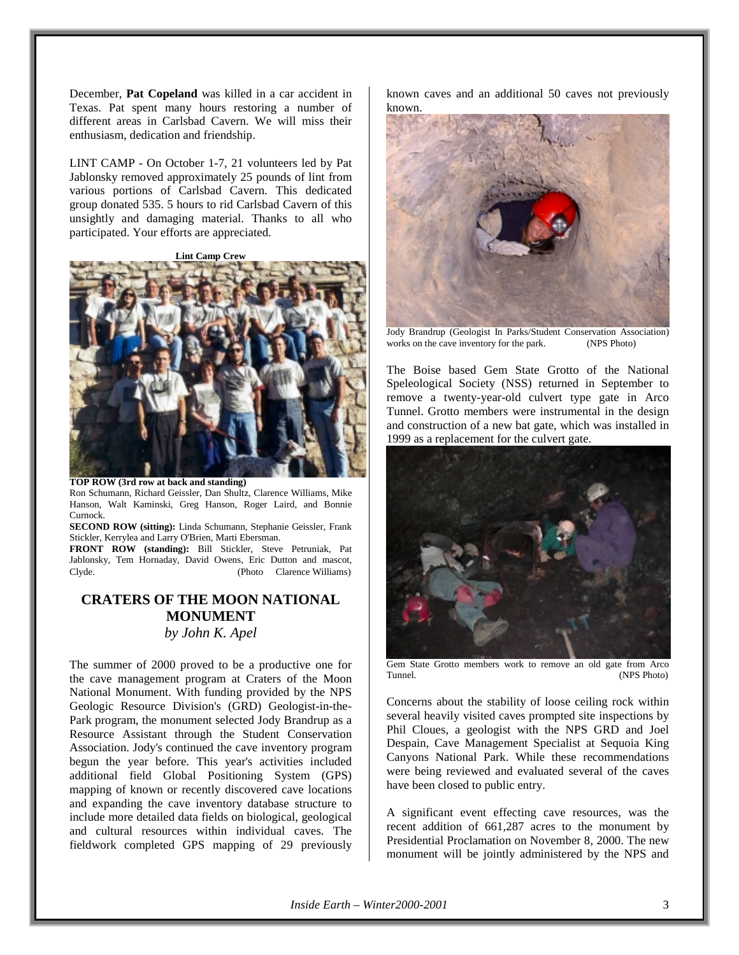December, **Pat Copeland** was killed in a car accident in Texas. Pat spent many hours restoring a number of different areas in Carlsbad Cavern. We will miss their enthusiasm, dedication and friendship.

LINT CAMP - On October 1-7, 21 volunteers led by Pat Jablonsky removed approximately 25 pounds of lint from various portions of Carlsbad Cavern. This dedicated group donated 535. 5 hours to rid Carlsbad Cavern of this unsightly and damaging material. Thanks to all who participated. Your efforts are appreciated.

**Lint Camp Crew**



**TOP ROW (3rd row at back and standing)** Ron Schumann, Richard Geissler, Dan Shultz, Clarence Williams, Mike Hanson, Walt Kaminski, Greg Hanson, Roger Laird, and Bonnie Curnock.

**SECOND ROW (sitting):** Linda Schumann, Stephanie Geissler, Frank Stickler, Kerrylea and Larry O'Brien, Marti Ebersman.

**FRONT ROW (standing):** Bill Stickler, Steve Petruniak, Pat Jablonsky, Tem Hornaday, David Owens, Eric Dutton and mascot, Clyde. (Photo © Clarence Williams)

## **CRATERS OF THE MOON NATIONAL MONUMENT** *by John K. Apel*

The summer of 2000 proved to be a productive one for the cave management program at Craters of the Moon National Monument. With funding provided by the NPS Geologic Resource Division's (GRD) Geologist-in-the-Park program, the monument selected Jody Brandrup as a Resource Assistant through the Student Conservation Association. Jody's continued the cave inventory program begun the year before. This year's activities included additional field Global Positioning System (GPS) mapping of known or recently discovered cave locations and expanding the cave inventory database structure to include more detailed data fields on biological, geological and cultural resources within individual caves. The fieldwork completed GPS mapping of 29 previously known caves and an additional 50 caves not previously known.



Jody Brandrup (Geologist In Parks/Student Conservation Association) works on the cave inventory for the park. (NPS Photo)

The Boise based Gem State Grotto of the National Speleological Society (NSS) returned in September to remove a twenty-year-old culvert type gate in Arco Tunnel. Grotto members were instrumental in the design and construction of a new bat gate, which was installed in 1999 as a replacement for the culvert gate.



Gem State Grotto members work to remove an old gate from Arco<br>Tunnel (NPS Photo) (NPS Photo)

Concerns about the stability of loose ceiling rock within several heavily visited caves prompted site inspections by Phil Cloues, a geologist with the NPS GRD and Joel Despain, Cave Management Specialist at Sequoia King Canyons National Park. While these recommendations were being reviewed and evaluated several of the caves have been closed to public entry.

A significant event effecting cave resources, was the recent addition of 661,287 acres to the monument by Presidential Proclamation on November 8, 2000. The new monument will be jointly administered by the NPS and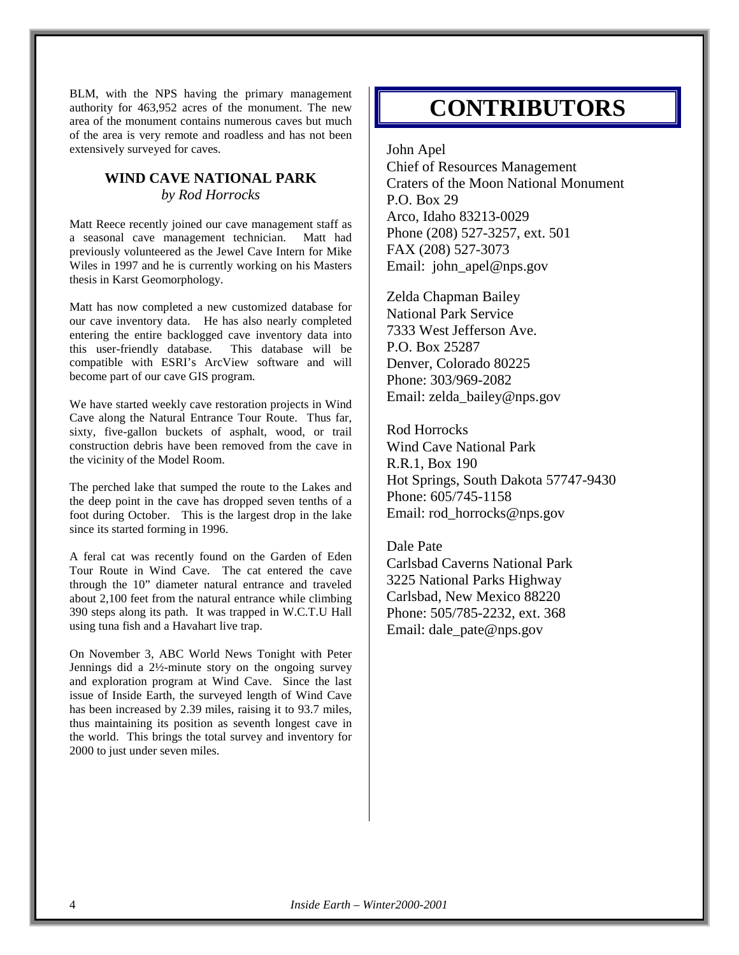BLM, with the NPS having the primary management authority for 463,952 acres of the monument. The new area of the monument contains numerous caves but much of the area is very remote and roadless and has not been extensively surveyed for caves.

### **WIND CAVE NATIONAL PARK** *by Rod Horrocks*

Matt Reece recently joined our cave management staff as a seasonal cave management technician. Matt had previously volunteered as the Jewel Cave Intern for Mike Wiles in 1997 and he is currently working on his Masters thesis in Karst Geomorphology.

Matt has now completed a new customized database for our cave inventory data. He has also nearly completed entering the entire backlogged cave inventory data into this user-friendly database. This database will be compatible with ESRI's ArcView software and will become part of our cave GIS program.

We have started weekly cave restoration projects in Wind Cave along the Natural Entrance Tour Route. Thus far, sixty, five-gallon buckets of asphalt, wood, or trail construction debris have been removed from the cave in the vicinity of the Model Room.

The perched lake that sumped the route to the Lakes and the deep point in the cave has dropped seven tenths of a foot during October. This is the largest drop in the lake since its started forming in 1996.

A feral cat was recently found on the Garden of Eden Tour Route in Wind Cave. The cat entered the cave through the 10" diameter natural entrance and traveled about 2,100 feet from the natural entrance while climbing 390 steps along its path. It was trapped in W.C.T.U Hall using tuna fish and a Havahart live trap.

On November 3, ABC World News Tonight with Peter Jennings did a 2½-minute story on the ongoing survey and exploration program at Wind Cave. Since the last issue of Inside Earth, the surveyed length of Wind Cave has been increased by 2.39 miles, raising it to 93.7 miles, thus maintaining its position as seventh longest cave in the world. This brings the total survey and inventory for 2000 to just under seven miles.

# **CONTRIBUTORS**

John Apel

Chief of Resources Management Craters of the Moon National Monument P.O. Box 29 Arco, Idaho 83213-0029 Phone (208) 527-3257, ext. 501 FAX (208) 527-3073 Email: john apel@nps.gov

Zelda Chapman Bailey National Park Service 7333 West Jefferson Ave. P.O. Box 25287 Denver, Colorado 80225 Phone: 303/969-2082 Email: zelda\_bailey@nps.gov

Rod Horrocks Wind Cave National Park R.R.1, Box 190 Hot Springs, South Dakota 57747-9430 Phone: 605/745-1158 Email: rod\_horrocks@nps.gov

Dale Pate Carlsbad Caverns National Park 3225 National Parks Highway Carlsbad, New Mexico 88220 Phone: 505/785-2232, ext. 368 Email: dale\_pate@nps.gov